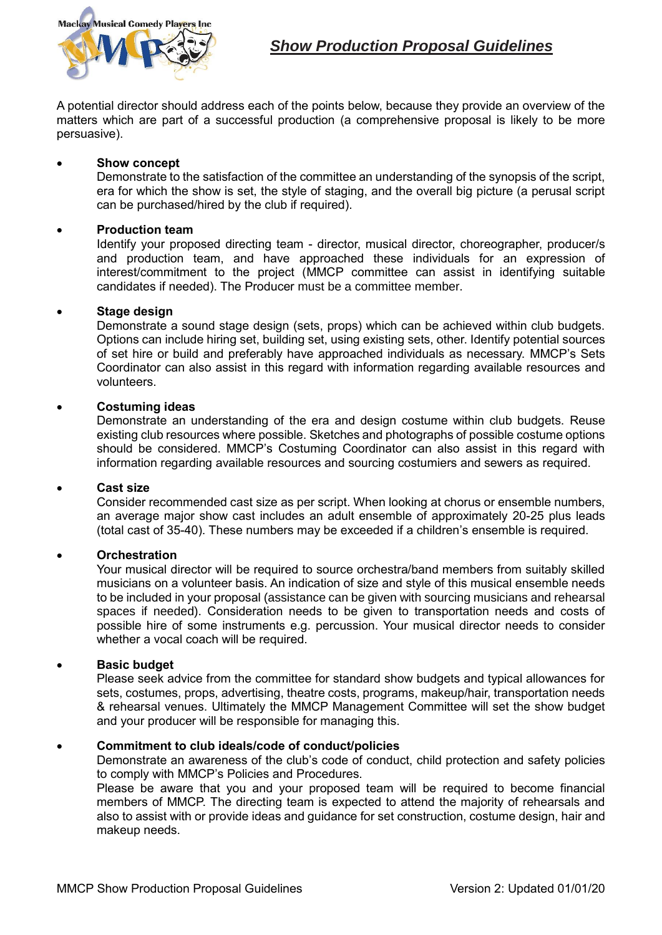

A potential director should address each of the points below, because they provide an overview of the matters which are part of a successful production (a comprehensive proposal is likely to be more persuasive).

#### **Show concept**

Demonstrate to the satisfaction of the committee an understanding of the synopsis of the script, era for which the show is set, the style of staging, and the overall big picture (a perusal script can be purchased/hired by the club if required).

### **Production team**

Identify your proposed directing team - director, musical director, choreographer, producer/s and production team, and have approached these individuals for an expression of interest/commitment to the project (MMCP committee can assist in identifying suitable candidates if needed). The Producer must be a committee member.

### **Stage design**

Demonstrate a sound stage design (sets, props) which can be achieved within club budgets. Options can include hiring set, building set, using existing sets, other. Identify potential sources of set hire or build and preferably have approached individuals as necessary. MMCP's Sets Coordinator can also assist in this regard with information regarding available resources and volunteers.

### **Costuming ideas**

Demonstrate an understanding of the era and design costume within club budgets. Reuse existing club resources where possible. Sketches and photographs of possible costume options should be considered. MMCP's Costuming Coordinator can also assist in this regard with information regarding available resources and sourcing costumiers and sewers as required.

#### **Cast size**

Consider recommended cast size as per script. When looking at chorus or ensemble numbers, an average major show cast includes an adult ensemble of approximately 20-25 plus leads (total cast of 35-40). These numbers may be exceeded if a children's ensemble is required.

#### **Orchestration**

Your musical director will be required to source orchestra/band members from suitably skilled musicians on a volunteer basis. An indication of size and style of this musical ensemble needs to be included in your proposal (assistance can be given with sourcing musicians and rehearsal spaces if needed). Consideration needs to be given to transportation needs and costs of possible hire of some instruments e.g. percussion. Your musical director needs to consider whether a vocal coach will be required.

### **Basic budget**

Please seek advice from the committee for standard show budgets and typical allowances for sets, costumes, props, advertising, theatre costs, programs, makeup/hair, transportation needs & rehearsal venues. Ultimately the MMCP Management Committee will set the show budget and your producer will be responsible for managing this.

#### **Commitment to club ideals/code of conduct/policies**

Demonstrate an awareness of the club's code of conduct, child protection and safety policies to comply with MMCP's Policies and Procedures.

Please be aware that you and your proposed team will be required to become financial members of MMCP. The directing team is expected to attend the majority of rehearsals and also to assist with or provide ideas and guidance for set construction, costume design, hair and makeup needs.